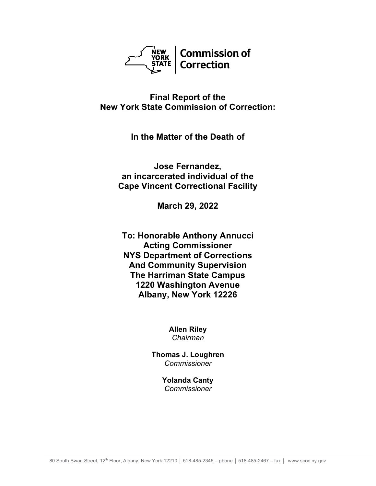

**Final Report of the New York State Commission of Correction:**

**In the Matter of the Death of**

**Jose Fernandez, an incarcerated individual of the Cape Vincent Correctional Facility**

**March 29, 2022**

**To: Honorable Anthony Annucci Acting Commissioner NYS Department of Corrections And Community Supervision The Harriman State Campus 1220 Washington Avenue Albany, New York 12226**

> **Allen Riley** *Chairman*

**Thomas J. Loughren** *Commissioner*

> **Yolanda Canty** *Commissioner*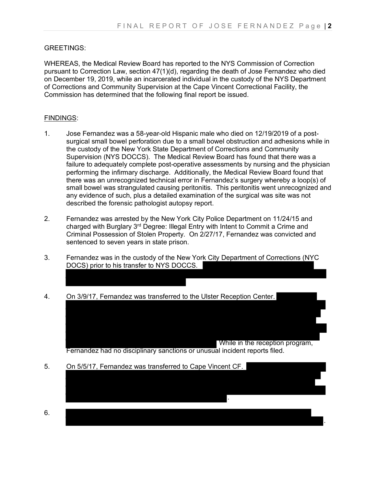### GREETINGS:

WHEREAS, the Medical Review Board has reported to the NYS Commission of Correction pursuant to Correction Law, section 47(1)(d), regarding the death of Jose Fernandez who died on December 19, 2019, while an incarcerated individual in the custody of the NYS Department of Corrections and Community Supervision at the Cape Vincent Correctional Facility, the Commission has determined that the following final report be issued.

#### FINDINGS:

- 1. Jose Fernandez was a 58-year-old Hispanic male who died on 12/19/2019 of a postsurgical small bowel perforation due to a small bowel obstruction and adhesions while in the custody of the New York State Department of Corrections and Community Supervision (NYS DOCCS). The Medical Review Board has found that there was a failure to adequately complete post-operative assessments by nursing and the physician performing the infirmary discharge. Additionally, the Medical Review Board found that there was an unrecognized technical error in Fernandez's surgery whereby a loop(s) of small bowel was strangulated causing peritonitis. This peritonitis went unrecognized and any evidence of such, plus a detailed examination of the surgical was site was not described the forensic pathologist autopsy report.
- 2. Fernandez was arrested by the New York City Police Department on 11/24/15 and charged with Burglary 3<sup>rd</sup> Degree: Illegal Entry with Intent to Commit a Crime and Criminal Possession of Stolen Property. On 2/27/17, Fernandez was convicted and sentenced to seven years in state prison.
- 3. Fernandez was in the custody of the New York City Department of Corrections (NYC DOCS) prior to his transfer to NYS DOCCS.

Ι

4. On 3/9/17, Fernandez was transferred to the Ulster Reception Center.

 While in the reception program, Fernandez had no disciplinary sanctions or unusual incident reports filed.

.

.

5. On 5/5/17, Fernandez was transferred to Cape Vincent CF.

6.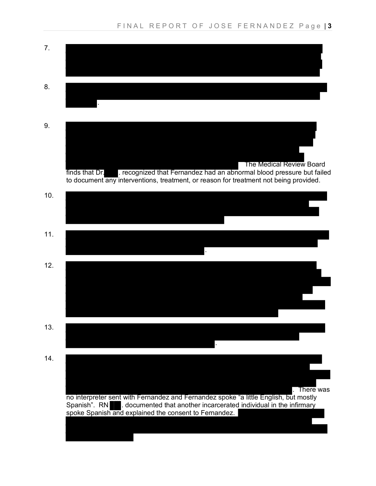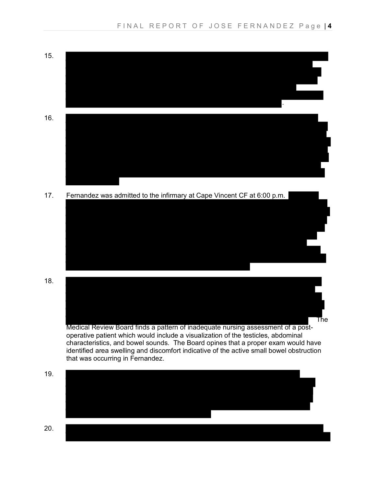





Medical Review Board finds a pattern of inadequate nursing assessment of a postoperative patient which would include a visualization of the testicles, abdominal characteristics, and bowel sounds. The Board opines that a proper exam would have identified area swelling and discomfort indicative of the active small bowel obstruction that was occurring in Fernandez.

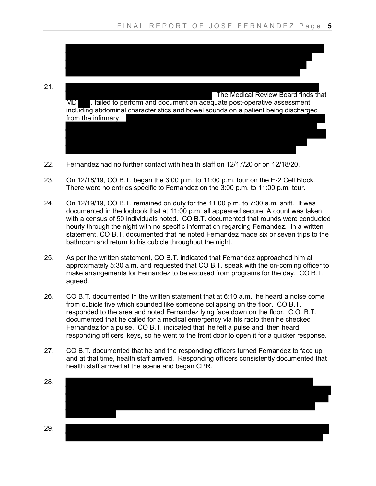I

21. The Medical Review Board finds that MD **.** failed to perform and document an adequate post-operative assessment including abdominal characteristics and bowel sounds on a patient being discharged from the infirmary.

- 22. Fernandez had no further contact with health staff on 12/17/20 or on 12/18/20.
- 23. On 12/18/19, CO B.T. began the 3:00 p.m. to 11:00 p.m. tour on the E-2 Cell Block. There were no entries specific to Fernandez on the 3:00 p.m. to 11:00 p.m. tour.
- 24. On 12/19/19, CO B.T. remained on duty for the 11:00 p.m. to 7:00 a.m. shift. It was documented in the logbook that at 11:00 p.m. all appeared secure. A count was taken with a census of 50 individuals noted. CO B.T. documented that rounds were conducted hourly through the night with no specific information regarding Fernandez. In a written statement, CO B.T. documented that he noted Fernandez made six or seven trips to the bathroom and return to his cubicle throughout the night.
- 25. As per the written statement, CO B.T. indicated that Fernandez approached him at approximately 5:30 a.m. and requested that CO B.T. speak with the on-coming officer to make arrangements for Fernandez to be excused from programs for the day. CO B.T. agreed.
- 26. CO B.T. documented in the written statement that at 6:10 a.m., he heard a noise come from cubicle five which sounded like someone collapsing on the floor. CO B.T. responded to the area and noted Fernandez lying face down on the floor. C.O. B.T. documented that he called for a medical emergency via his radio then he checked Fernandez for a pulse. CO B.T. indicated that he felt a pulse and then heard responding officers' keys, so he went to the front door to open it for a quicker response.
- 27. CO B.T. documented that he and the responding officers turned Fernandez to face up and at that time, health staff arrived. Responding officers consistently documented that health staff arrived at the scene and began CPR.

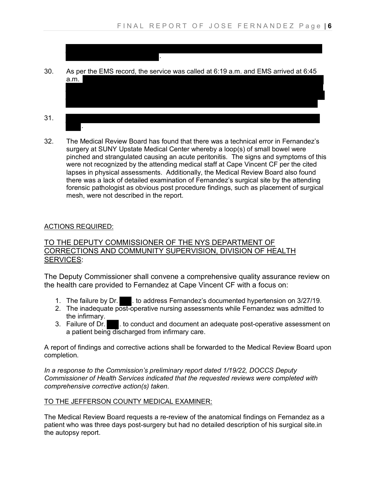

.

32. The Medical Review Board has found that there was a technical error in Fernandez's surgery at SUNY Upstate Medical Center whereby a loop(s) of small bowel were pinched and strangulated causing an acute peritonitis. The signs and symptoms of this were not recognized by the attending medical staff at Cape Vincent CF per the cited lapses in physical assessments. Additionally, the Medical Review Board also found there was a lack of detailed examination of Fernandez's surgical site by the attending forensic pathologist as obvious post procedure findings, such as placement of surgical mesh, were not described in the report.

# ACTIONS REQUIRED:

## TO THE DEPUTY COMMISSIONER OF THE NYS DEPARTMENT OF CORRECTIONS AND COMMUNITY SUPERVISION, DIVISION OF HEALTH SERVICES:

The Deputy Commissioner shall convene a comprehensive quality assurance review on the health care provided to Fernandez at Cape Vincent CF with a focus on:

- 1. The failure by Dr.  $\blacksquare$ . to address Fernandez's documented hypertension on 3/27/19.
- 2. The inadequate post-operative nursing assessments while Fernandez was admitted to the infirmary.<br>3. Failure of Dr.
- . to conduct and document an adequate post-operative assessment on a patient being discharged from infirmary care.

A report of findings and corrective actions shall be forwarded to the Medical Review Board upon completion.

*In a response to the Commission's preliminary report dated 1/19/22, DOCCS Deputy Commissioner of Health Services indicated that the requested reviews were completed with comprehensive corrective action(s) taken.*

### TO THE JEFFERSON COUNTY MEDICAL EXAMINER:

The Medical Review Board requests a re-review of the anatomical findings on Fernandez as a patient who was three days post-surgery but had no detailed description of his surgical site.in the autopsy report.